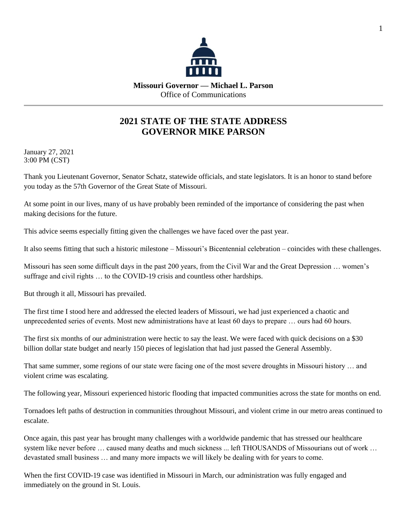

## **2021 STATE OF THE STATE ADDRESS GOVERNOR MIKE PARSON**

January 27, 2021 3:00 PM (CST)

Thank you Lieutenant Governor, Senator Schatz, statewide officials, and state legislators. It is an honor to stand before you today as the 57th Governor of the Great State of Missouri.

At some point in our lives, many of us have probably been reminded of the importance of considering the past when making decisions for the future.

This advice seems especially fitting given the challenges we have faced over the past year.

It also seems fitting that such a historic milestone – Missouri's Bicentennial celebration – coincides with these challenges.

Missouri has seen some difficult days in the past 200 years, from the Civil War and the Great Depression … women's suffrage and civil rights ... to the COVID-19 crisis and countless other hardships.

But through it all, Missouri has prevailed.

The first time I stood here and addressed the elected leaders of Missouri, we had just experienced a chaotic and unprecedented series of events. Most new administrations have at least 60 days to prepare … ours had 60 hours.

The first six months of our administration were hectic to say the least. We were faced with quick decisions on a \$30 billion dollar state budget and nearly 150 pieces of legislation that had just passed the General Assembly.

That same summer, some regions of our state were facing one of the most severe droughts in Missouri history … and violent crime was escalating.

The following year, Missouri experienced historic flooding that impacted communities across the state for months on end.

Tornadoes left paths of destruction in communities throughout Missouri, and violent crime in our metro areas continued to escalate.

Once again, this past year has brought many challenges with a worldwide pandemic that has stressed our healthcare system like never before … caused many deaths and much sickness ... left THOUSANDS of Missourians out of work … devastated small business … and many more impacts we will likely be dealing with for years to come.

When the first COVID-19 case was identified in Missouri in March, our administration was fully engaged and immediately on the ground in St. Louis.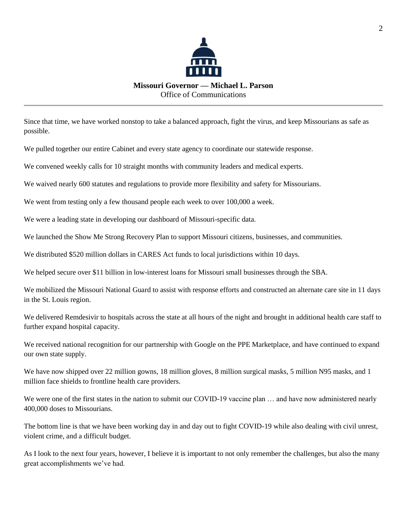

Since that time, we have worked nonstop to take a balanced approach, fight the virus, and keep Missourians as safe as possible.

We pulled together our entire Cabinet and every state agency to coordinate our statewide response.

We convened weekly calls for 10 straight months with community leaders and medical experts.

We waived nearly 600 statutes and regulations to provide more flexibility and safety for Missourians.

We went from testing only a few thousand people each week to over 100,000 a week.

We were a leading state in developing our dashboard of Missouri-specific data.

We launched the Show Me Strong Recovery Plan to support Missouri citizens, businesses, and communities.

We distributed \$520 million dollars in CARES Act funds to local jurisdictions within 10 days.

We helped secure over \$11 billion in low-interest loans for Missouri small businesses through the SBA.

We mobilized the Missouri National Guard to assist with response efforts and constructed an alternate care site in 11 days in the St. Louis region.

We delivered Remdesivir to hospitals across the state at all hours of the night and brought in additional health care staff to further expand hospital capacity.

We received national recognition for our partnership with Google on the PPE Marketplace, and have continued to expand our own state supply.

We have now shipped over 22 million gowns, 18 million gloves, 8 million surgical masks, 5 million N95 masks, and 1 million face shields to frontline health care providers.

We were one of the first states in the nation to submit our COVID-19 vaccine plan ... and have now administered nearly 400,000 doses to Missourians.

The bottom line is that we have been working day in and day out to fight COVID-19 while also dealing with civil unrest, violent crime, and a difficult budget.

As I look to the next four years, however, I believe it is important to not only remember the challenges, but also the many great accomplishments we've had.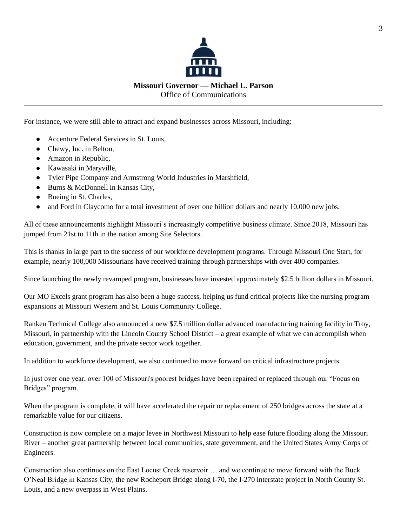

For instance, we were still able to attract and expand businesses across Missouri, including:

- Accenture Federal Services in St. Louis,
- Chewy, Inc. in Belton,
- Amazon in Republic,
- Kawasaki in Maryville,
- Tyler Pipe Company and Armstrong World Industries in Marshfield,
- Burns & McDonnell in Kansas City,
- Boeing in St. Charles,
- and Ford in Claycomo for a total investment of over one billion dollars and nearly 10,000 new jobs.

All of these announcements highlight Missouri's increasingly competitive business climate. Since 2018, Missouri has jumped from 21st to 11th in the nation among Site Selectors.

This is thanks in large part to the success of our workforce development programs. Through Missouri One Start, for example, nearly 100,000 Missourians have received training through partnerships with over 400 companies.

Since launching the newly revamped program, businesses have invested approximately \$2.5 billion dollars in Missouri.

Our MO Excels grant program has also been a huge success, helping us fund critical projects like the nursing program expansions at Missouri Western and St. Louis Community College.

Ranken Technical College also announced a new \$7.5 million dollar advanced manufacturing training facility in Troy, Missouri, in partnership with the Lincoln County School District – a great example of what we can accomplish when education, government, and the private sector work together.

In addition to workforce development, we also continued to move forward on critical infrastructure projects.

In just over one year, over 100 of Missouri's poorest bridges have been repaired or replaced through our "Focus on Bridges" program.

When the program is complete, it will have accelerated the repair or replacement of 250 bridges across the state at a remarkable value for our citizens.

Construction is now complete on a major levee in Northwest Missouri to help ease future flooding along the Missouri River – another great partnership between local communities, state government, and the United States Army Corps of Engineers.

Construction also continues on the East Locust Creek reservoir … and we continue to move forward with the Buck O'Neal Bridge in Kansas City, the new Rocheport Bridge along I-70, the I-270 interstate project in North County St. Louis, and a new overpass in West Plains.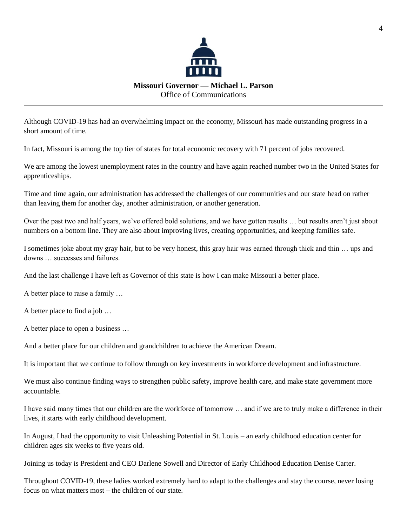

Although COVID-19 has had an overwhelming impact on the economy, Missouri has made outstanding progress in a short amount of time.

In fact, Missouri is among the top tier of states for total economic recovery with 71 percent of jobs recovered.

We are among the lowest unemployment rates in the country and have again reached number two in the United States for apprenticeships.

Time and time again, our administration has addressed the challenges of our communities and our state head on rather than leaving them for another day, another administration, or another generation.

Over the past two and half years, we've offered bold solutions, and we have gotten results … but results aren't just about numbers on a bottom line. They are also about improving lives, creating opportunities, and keeping families safe.

I sometimes joke about my gray hair, but to be very honest, this gray hair was earned through thick and thin … ups and downs … successes and failures.

And the last challenge I have left as Governor of this state is how I can make Missouri a better place.

A better place to raise a family …

A better place to find a job …

A better place to open a business …

And a better place for our children and grandchildren to achieve the American Dream.

It is important that we continue to follow through on key investments in workforce development and infrastructure.

We must also continue finding ways to strengthen public safety, improve health care, and make state government more accountable.

I have said many times that our children are the workforce of tomorrow … and if we are to truly make a difference in their lives, it starts with early childhood development.

In August, I had the opportunity to visit Unleashing Potential in St. Louis – an early childhood education center for children ages six weeks to five years old.

Joining us today is President and CEO Darlene Sowell and Director of Early Childhood Education Denise Carter.

Throughout COVID-19, these ladies worked extremely hard to adapt to the challenges and stay the course, never losing focus on what matters most – the children of our state.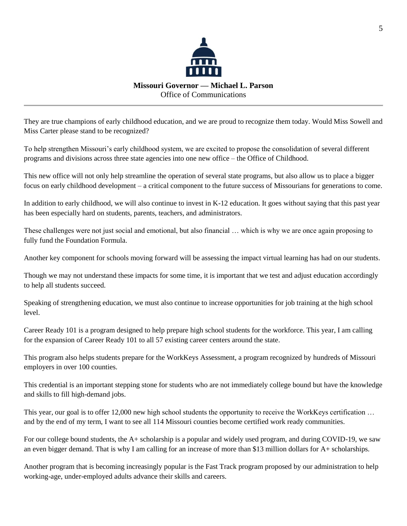

They are true champions of early childhood education, and we are proud to recognize them today. Would Miss Sowell and Miss Carter please stand to be recognized?

To help strengthen Missouri's early childhood system, we are excited to propose the consolidation of several different programs and divisions across three state agencies into one new office – the Office of Childhood.

This new office will not only help streamline the operation of several state programs, but also allow us to place a bigger focus on early childhood development – a critical component to the future success of Missourians for generations to come.

In addition to early childhood, we will also continue to invest in K-12 education. It goes without saying that this past year has been especially hard on students, parents, teachers, and administrators.

These challenges were not just social and emotional, but also financial … which is why we are once again proposing to fully fund the Foundation Formula.

Another key component for schools moving forward will be assessing the impact virtual learning has had on our students.

Though we may not understand these impacts for some time, it is important that we test and adjust education accordingly to help all students succeed.

Speaking of strengthening education, we must also continue to increase opportunities for job training at the high school level.

Career Ready 101 is a program designed to help prepare high school students for the workforce. This year, I am calling for the expansion of Career Ready 101 to all 57 existing career centers around the state.

This program also helps students prepare for the WorkKeys Assessment, a program recognized by hundreds of Missouri employers in over 100 counties.

This credential is an important stepping stone for students who are not immediately college bound but have the knowledge and skills to fill high-demand jobs.

This year, our goal is to offer 12,000 new high school students the opportunity to receive the WorkKeys certification ... and by the end of my term, I want to see all 114 Missouri counties become certified work ready communities.

For our college bound students, the A+ scholarship is a popular and widely used program, and during COVID-19, we saw an even bigger demand. That is why I am calling for an increase of more than \$13 million dollars for A+ scholarships.

Another program that is becoming increasingly popular is the Fast Track program proposed by our administration to help working-age, under-employed adults advance their skills and careers.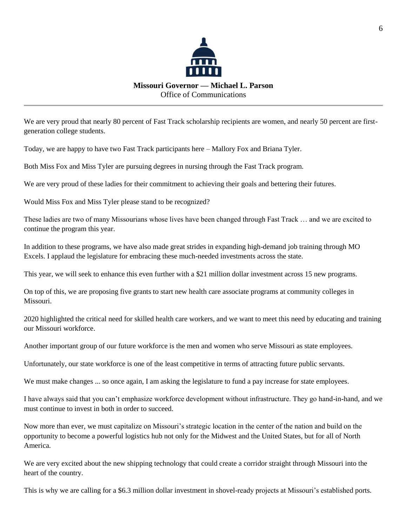

We are very proud that nearly 80 percent of Fast Track scholarship recipients are women, and nearly 50 percent are firstgeneration college students.

Today, we are happy to have two Fast Track participants here – Mallory Fox and Briana Tyler.

Both Miss Fox and Miss Tyler are pursuing degrees in nursing through the Fast Track program.

We are very proud of these ladies for their commitment to achieving their goals and bettering their futures.

Would Miss Fox and Miss Tyler please stand to be recognized?

These ladies are two of many Missourians whose lives have been changed through Fast Track … and we are excited to continue the program this year.

In addition to these programs, we have also made great strides in expanding high-demand job training through MO Excels. I applaud the legislature for embracing these much-needed investments across the state.

This year, we will seek to enhance this even further with a \$21 million dollar investment across 15 new programs.

On top of this, we are proposing five grants to start new health care associate programs at community colleges in Missouri.

2020 highlighted the critical need for skilled health care workers, and we want to meet this need by educating and training our Missouri workforce.

Another important group of our future workforce is the men and women who serve Missouri as state employees.

Unfortunately, our state workforce is one of the least competitive in terms of attracting future public servants.

We must make changes ... so once again, I am asking the legislature to fund a pay increase for state employees.

I have always said that you can't emphasize workforce development without infrastructure. They go hand-in-hand, and we must continue to invest in both in order to succeed.

Now more than ever, we must capitalize on Missouri's strategic location in the center of the nation and build on the opportunity to become a powerful logistics hub not only for the Midwest and the United States, but for all of North America.

We are very excited about the new shipping technology that could create a corridor straight through Missouri into the heart of the country.

This is why we are calling for a \$6.3 million dollar investment in shovel-ready projects at Missouri's established ports.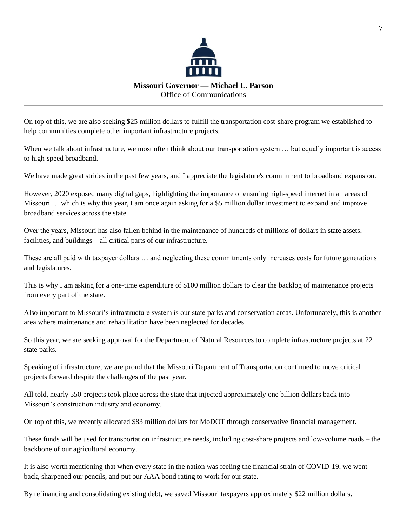

On top of this, we are also seeking \$25 million dollars to fulfill the transportation cost-share program we established to help communities complete other important infrastructure projects.

When we talk about infrastructure, we most often think about our transportation system ... but equally important is access to high-speed broadband.

We have made great strides in the past few years, and I appreciate the legislature's commitment to broadband expansion.

However, 2020 exposed many digital gaps, highlighting the importance of ensuring high-speed internet in all areas of Missouri … which is why this year, I am once again asking for a \$5 million dollar investment to expand and improve broadband services across the state.

Over the years, Missouri has also fallen behind in the maintenance of hundreds of millions of dollars in state assets, facilities, and buildings – all critical parts of our infrastructure.

These are all paid with taxpayer dollars … and neglecting these commitments only increases costs for future generations and legislatures.

This is why I am asking for a one-time expenditure of \$100 million dollars to clear the backlog of maintenance projects from every part of the state.

Also important to Missouri's infrastructure system is our state parks and conservation areas. Unfortunately, this is another area where maintenance and rehabilitation have been neglected for decades.

So this year, we are seeking approval for the Department of Natural Resources to complete infrastructure projects at 22 state parks.

Speaking of infrastructure, we are proud that the Missouri Department of Transportation continued to move critical projects forward despite the challenges of the past year.

All told, nearly 550 projects took place across the state that injected approximately one billion dollars back into Missouri's construction industry and economy.

On top of this, we recently allocated \$83 million dollars for MoDOT through conservative financial management.

These funds will be used for transportation infrastructure needs, including cost-share projects and low-volume roads – the backbone of our agricultural economy.

It is also worth mentioning that when every state in the nation was feeling the financial strain of COVID-19, we went back, sharpened our pencils, and put our AAA bond rating to work for our state.

By refinancing and consolidating existing debt, we saved Missouri taxpayers approximately \$22 million dollars.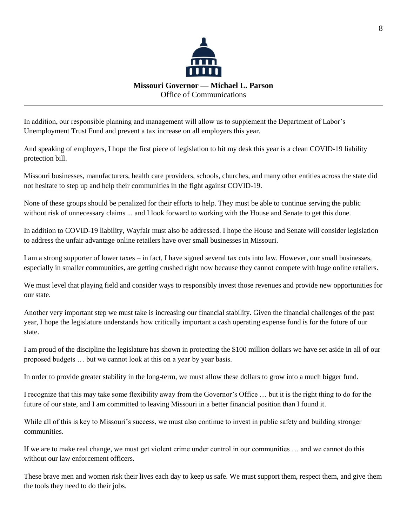

In addition, our responsible planning and management will allow us to supplement the Department of Labor's Unemployment Trust Fund and prevent a tax increase on all employers this year.

And speaking of employers, I hope the first piece of legislation to hit my desk this year is a clean COVID-19 liability protection bill.

Missouri businesses, manufacturers, health care providers, schools, churches, and many other entities across the state did not hesitate to step up and help their communities in the fight against COVID-19.

None of these groups should be penalized for their efforts to help. They must be able to continue serving the public without risk of unnecessary claims ... and I look forward to working with the House and Senate to get this done.

In addition to COVID-19 liability, Wayfair must also be addressed. I hope the House and Senate will consider legislation to address the unfair advantage online retailers have over small businesses in Missouri.

I am a strong supporter of lower taxes – in fact, I have signed several tax cuts into law. However, our small businesses, especially in smaller communities, are getting crushed right now because they cannot compete with huge online retailers.

We must level that playing field and consider ways to responsibly invest those revenues and provide new opportunities for our state.

Another very important step we must take is increasing our financial stability. Given the financial challenges of the past year, I hope the legislature understands how critically important a cash operating expense fund is for the future of our state.

I am proud of the discipline the legislature has shown in protecting the \$100 million dollars we have set aside in all of our proposed budgets … but we cannot look at this on a year by year basis.

In order to provide greater stability in the long-term, we must allow these dollars to grow into a much bigger fund.

I recognize that this may take some flexibility away from the Governor's Office … but it is the right thing to do for the future of our state, and I am committed to leaving Missouri in a better financial position than I found it.

While all of this is key to Missouri's success, we must also continue to invest in public safety and building stronger communities.

If we are to make real change, we must get violent crime under control in our communities … and we cannot do this without our law enforcement officers.

These brave men and women risk their lives each day to keep us safe. We must support them, respect them, and give them the tools they need to do their jobs.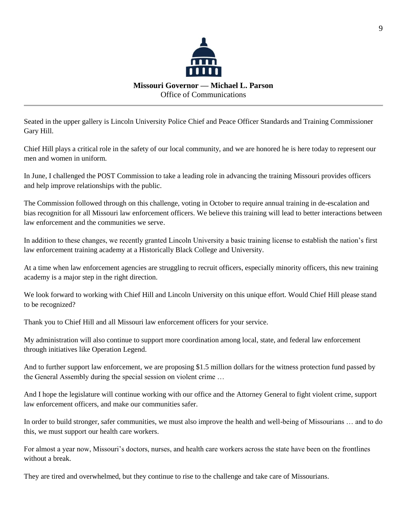

Seated in the upper gallery is Lincoln University Police Chief and Peace Officer Standards and Training Commissioner Gary Hill.

Chief Hill plays a critical role in the safety of our local community, and we are honored he is here today to represent our men and women in uniform.

In June, I challenged the POST Commission to take a leading role in advancing the training Missouri provides officers and help improve relationships with the public.

The Commission followed through on this challenge, voting in October to require annual training in de-escalation and bias recognition for all Missouri law enforcement officers. We believe this training will lead to better interactions between law enforcement and the communities we serve.

In addition to these changes, we recently granted Lincoln University a basic training license to establish the nation's first law enforcement training academy at a Historically Black College and University.

At a time when law enforcement agencies are struggling to recruit officers, especially minority officers, this new training academy is a major step in the right direction.

We look forward to working with Chief Hill and Lincoln University on this unique effort. Would Chief Hill please stand to be recognized?

Thank you to Chief Hill and all Missouri law enforcement officers for your service.

My administration will also continue to support more coordination among local, state, and federal law enforcement through initiatives like Operation Legend.

And to further support law enforcement, we are proposing \$1.5 million dollars for the witness protection fund passed by the General Assembly during the special session on violent crime …

And I hope the legislature will continue working with our office and the Attorney General to fight violent crime, support law enforcement officers, and make our communities safer.

In order to build stronger, safer communities, we must also improve the health and well-being of Missourians … and to do this, we must support our health care workers.

For almost a year now, Missouri's doctors, nurses, and health care workers across the state have been on the frontlines without a break.

They are tired and overwhelmed, but they continue to rise to the challenge and take care of Missourians.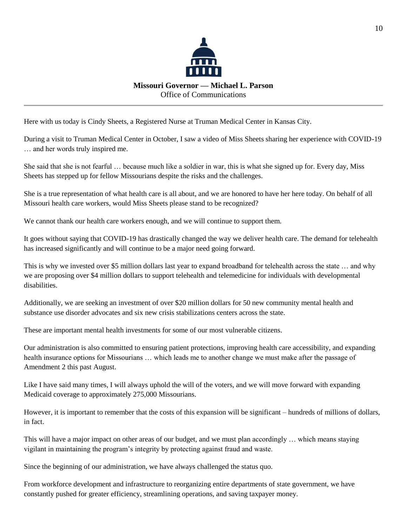

Here with us today is Cindy Sheets, a Registered Nurse at Truman Medical Center in Kansas City.

During a visit to Truman Medical Center in October, I saw a video of Miss Sheets sharing her experience with COVID-19 … and her words truly inspired me.

She said that she is not fearful … because much like a soldier in war, this is what she signed up for. Every day, Miss Sheets has stepped up for fellow Missourians despite the risks and the challenges.

She is a true representation of what health care is all about, and we are honored to have her here today. On behalf of all Missouri health care workers, would Miss Sheets please stand to be recognized?

We cannot thank our health care workers enough, and we will continue to support them.

It goes without saying that COVID-19 has drastically changed the way we deliver health care. The demand for telehealth has increased significantly and will continue to be a major need going forward.

This is why we invested over \$5 million dollars last year to expand broadband for telehealth across the state … and why we are proposing over \$4 million dollars to support telehealth and telemedicine for individuals with developmental disabilities.

Additionally, we are seeking an investment of over \$20 million dollars for 50 new community mental health and substance use disorder advocates and six new crisis stabilizations centers across the state.

These are important mental health investments for some of our most vulnerable citizens.

Our administration is also committed to ensuring patient protections, improving health care accessibility, and expanding health insurance options for Missourians … which leads me to another change we must make after the passage of Amendment 2 this past August.

Like I have said many times, I will always uphold the will of the voters, and we will move forward with expanding Medicaid coverage to approximately 275,000 Missourians.

However, it is important to remember that the costs of this expansion will be significant – hundreds of millions of dollars, in fact.

This will have a major impact on other areas of our budget, and we must plan accordingly … which means staying vigilant in maintaining the program's integrity by protecting against fraud and waste.

Since the beginning of our administration, we have always challenged the status quo.

From workforce development and infrastructure to reorganizing entire departments of state government, we have constantly pushed for greater efficiency, streamlining operations, and saving taxpayer money.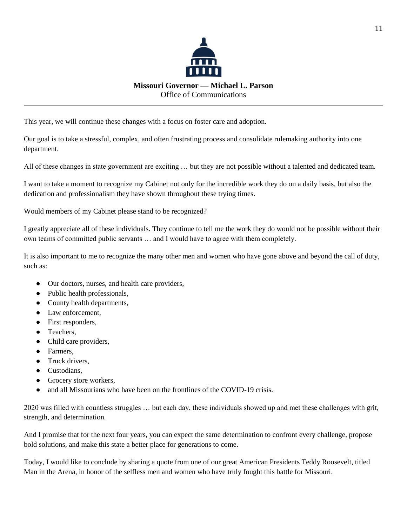

This year, we will continue these changes with a focus on foster care and adoption.

Our goal is to take a stressful, complex, and often frustrating process and consolidate rulemaking authority into one department.

All of these changes in state government are exciting … but they are not possible without a talented and dedicated team.

I want to take a moment to recognize my Cabinet not only for the incredible work they do on a daily basis, but also the dedication and professionalism they have shown throughout these trying times.

Would members of my Cabinet please stand to be recognized?

I greatly appreciate all of these individuals. They continue to tell me the work they do would not be possible without their own teams of committed public servants … and I would have to agree with them completely.

It is also important to me to recognize the many other men and women who have gone above and beyond the call of duty, such as:

- Our doctors, nurses, and health care providers,
- Public health professionals,
- County health departments,
- Law enforcement,
- First responders,
- Teachers,
- Child care providers,
- Farmers,
- Truck drivers,
- Custodians,
- Grocery store workers,
- and all Missourians who have been on the frontlines of the COVID-19 crisis.

2020 was filled with countless struggles … but each day, these individuals showed up and met these challenges with grit, strength, and determination.

And I promise that for the next four years, you can expect the same determination to confront every challenge, propose bold solutions, and make this state a better place for generations to come.

Today, I would like to conclude by sharing a quote from one of our great American Presidents Teddy Roosevelt, titled Man in the Arena, in honor of the selfless men and women who have truly fought this battle for Missouri.